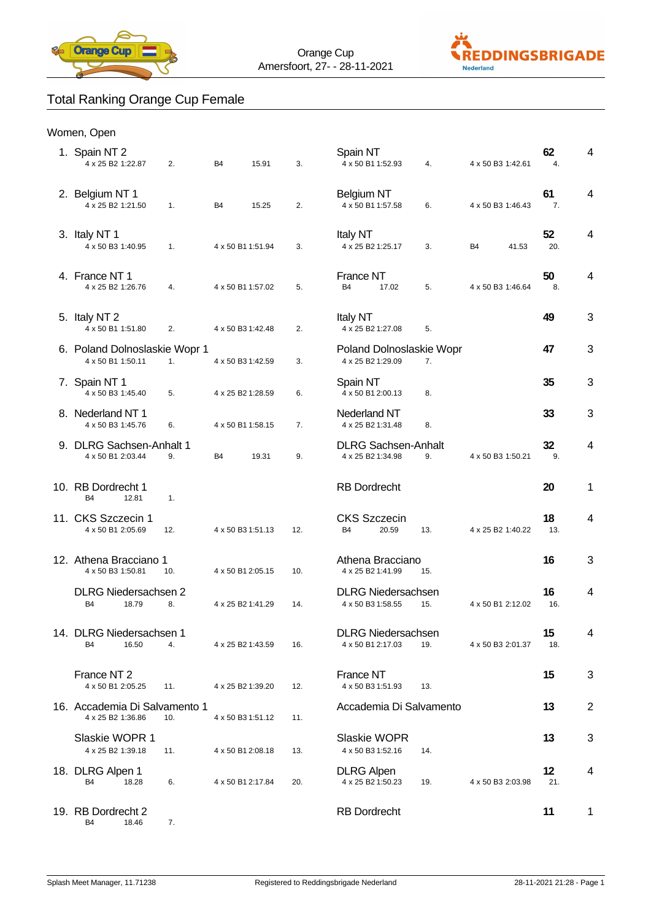



## Total Ranking Orange Cup Female

| Women, Open |  |
|-------------|--|
|-------------|--|

| 1. Spain NT 2<br>4 x 25 B2 1:22.87                  | 2.  | B <sub>4</sub>    | 15.91 | 3.  | Spain NT<br>4 x 50 B1 1:52.93                   |                           | 4.                             | 4 x 50 B3 1:42.61 | 62<br>4.  | 4              |
|-----------------------------------------------------|-----|-------------------|-------|-----|-------------------------------------------------|---------------------------|--------------------------------|-------------------|-----------|----------------|
| 2. Belgium NT 1<br>4 x 25 B2 1:21.50                | 1.  | <b>B4</b>         | 15.25 | 2.  | <b>Belgium NT</b><br>4 x 50 B1 1:57.58          |                           | 6.                             | 4 x 50 B3 1:46.43 | 61<br>7.  | 4              |
| 3. Italy NT 1<br>4 x 50 B3 1:40.95                  | 1.  | 4 x 50 B1 1:51.94 |       | 3.  | <b>Italy NT</b><br>4 x 25 B2 1:25.17            |                           | 3.                             | B4<br>41.53       | 52<br>20. | 4              |
| 4. France NT 1<br>4 x 25 B2 1:26.76                 | 4.  | 4 x 50 B1 1:57.02 |       | 5.  | France NT<br>B <sub>4</sub>                     | 17.02                     | 5.                             | 4 x 50 B3 1:46.64 | 50<br>8.  | 4              |
| 5. Italy NT 2<br>4 x 50 B1 1:51.80                  | 2.  | 4 x 50 B3 1:42.48 |       | 2.  | <b>Italy NT</b><br>4 x 25 B2 1:27.08            |                           | 5.                             |                   | 49        | 3              |
| 6. Poland Dolnoslaskie Wopr 1<br>4 x 50 B1 1:50.11  | 1.  | 4 x 50 B3 1:42.59 |       | 3.  | 4 x 25 B2 1:29.09                               |                           | Poland Dolnoslaskie Wopr<br>7. |                   | 47        | 3              |
| 7. Spain NT 1<br>4 x 50 B3 1:45.40                  | 5.  | 4 x 25 B2 1:28.59 |       | 6.  | Spain NT<br>4 x 50 B1 2:00.13                   |                           | 8.                             |                   | 35        | 3              |
| 8. Nederland NT 1<br>4 x 50 B3 1:45.76              | 6.  | 4 x 50 B1 1:58.15 |       | 7.  | Nederland NT<br>4 x 25 B2 1:31.48               |                           | 8.                             |                   | 33        | 3              |
| 9. DLRG Sachsen-Anhalt 1<br>4 x 50 B1 2:03.44       | 9.  | <b>B4</b>         | 19.31 | 9.  | <b>DLRG Sachsen-Anhalt</b><br>4 x 25 B2 1:34.98 |                           | 9.                             | 4 x 50 B3 1:50.21 | 32<br>9.  | 4              |
| 10. RB Dordrecht 1<br>12.81<br><b>B4</b>            | 1.  |                   |       |     | <b>RB</b> Dordrecht                             |                           |                                |                   | 20        | 1              |
| 11. CKS Szczecin 1<br>4 x 50 B1 2:05.69             | 12. | 4 x 50 B3 1:51.13 |       | 12. | <b>CKS Szczecin</b><br><b>B4</b>                | 20.59                     | 13.                            | 4 x 25 B2 1:40.22 | 18<br>13. | 4              |
| 12. Athena Bracciano 1<br>4 x 50 B3 1:50.81         | 10. | 4 x 50 B1 2:05.15 |       | 10. | Athena Bracciano<br>4 x 25 B2 1:41.99           |                           | 15.                            |                   | 16        | 3              |
| <b>DLRG Niedersachsen 2</b><br><b>B4</b><br>18.79   | 8.  | 4 x 25 B2 1:41.29 |       | 14. | <b>DLRG Niedersachsen</b><br>4 x 50 B3 1:58.55  |                           | 15.                            | 4 x 50 B1 2:12.02 | 16<br>16. | 4              |
| 14. DLRG Niedersachsen 1<br>B <sub>4</sub><br>16.50 | 4.  | 4 x 25 B2 1:43.59 |       | 16. | 4 x 50 B1 2:17.03                               | <b>DLRG Niedersachsen</b> | 19.                            | 4 x 50 B3 2:01.37 | 15<br>18. |                |
| France NT <sub>2</sub><br>4 x 50 B1 2:05.25         | 11. | 4 x 25 B2 1:39.20 |       | 12. | France NT<br>4 x 50 B3 1:51.93                  |                           | 13.                            |                   | 15        | 3              |
| 16. Accademia Di Salvamento 1<br>4 x 25 B2 1:36.86  | 10. | 4 x 50 B3 1:51.12 |       | 11. | Accademia Di Salvamento                         |                           |                                |                   | 13        | $\overline{2}$ |
| Slaskie WOPR 1<br>4 x 25 B2 1:39.18                 | 11. | 4 x 50 B1 2:08.18 |       | 13. | Slaskie WOPR<br>4 x 50 B3 1:52.16               |                           | 14.                            |                   | 13        | 3              |
| 18. DLRG Alpen 1<br>B <sub>4</sub><br>18.28         | 6.  | 4 x 50 B1 2:17.84 |       | 20. | <b>DLRG</b> Alpen<br>4 x 25 B2 1:50.23          |                           | 19.                            | 4 x 50 B3 2:03.98 | 12<br>21. | 4              |
| 19. RB Dordrecht 2<br><b>B4</b><br>18.46            | 7.  |                   |       |     | <b>RB</b> Dordrecht                             |                           |                                |                   | 11        | $\mathbf{1}$   |